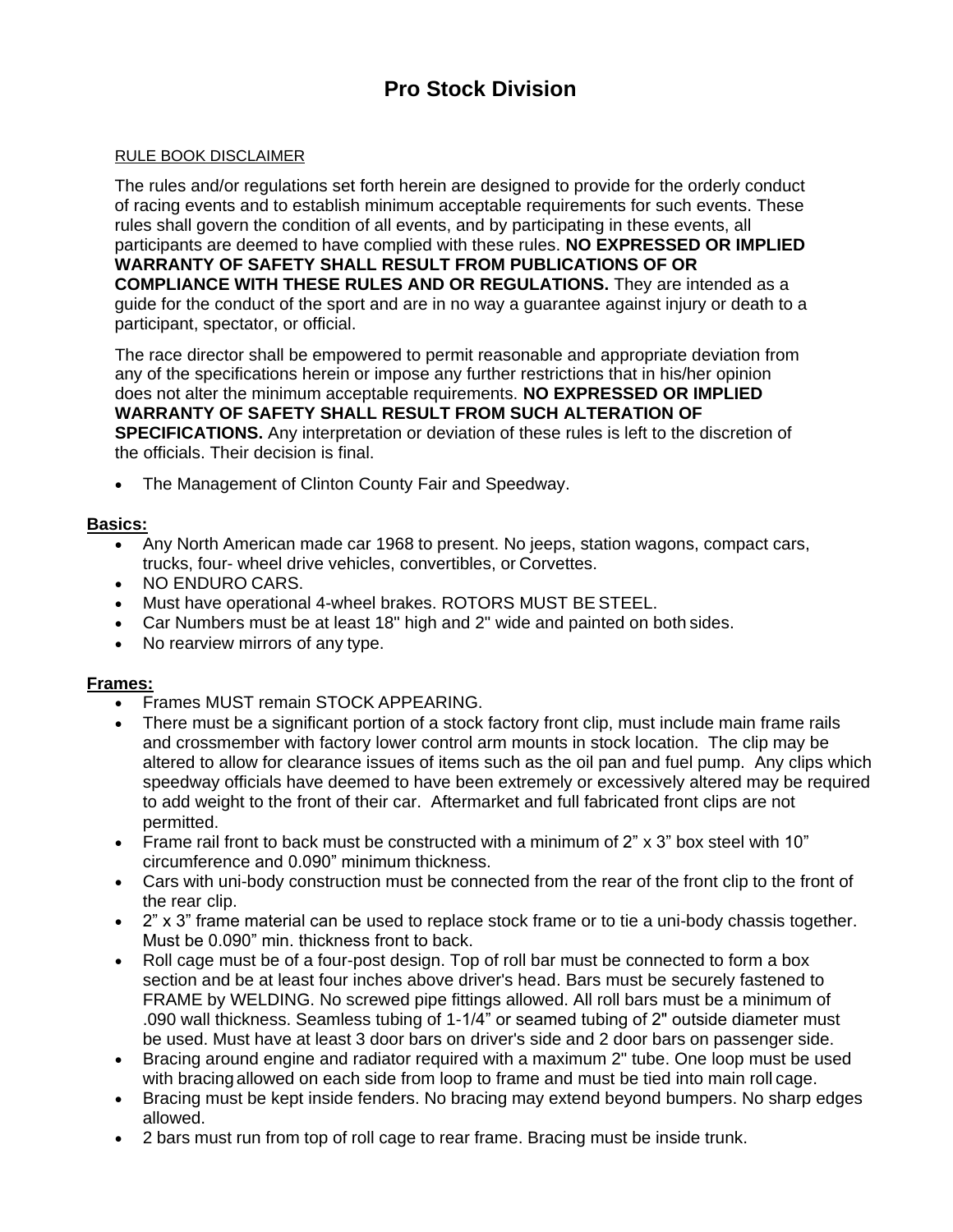# **Pro Stock Division**

#### RULE BOOK DISCLAIMER

The rules and/or regulations set forth herein are designed to provide for the orderly conduct of racing events and to establish minimum acceptable requirements for such events. These rules shall govern the condition of all events, and by participating in these events, all participants are deemed to have complied with these rules. **NO EXPRESSED OR IMPLIED WARRANTY OF SAFETY SHALL RESULT FROM PUBLICATIONS OF OR COMPLIANCE WITH THESE RULES AND OR REGULATIONS.** They are intended as a guide for the conduct of the sport and are in no way a guarantee against injury or death to a participant, spectator, or official.

The race director shall be empowered to permit reasonable and appropriate deviation from any of the specifications herein or impose any further restrictions that in his/her opinion does not alter the minimum acceptable requirements. **NO EXPRESSED OR IMPLIED WARRANTY OF SAFETY SHALL RESULT FROM SUCH ALTERATION OF SPECIFICATIONS.** Any interpretation or deviation of these rules is left to the discretion of the officials. Their decision is final.

• The Management of Clinton County Fair and Speedway.

#### **Basics:**

- Any North American made car 1968 to present. No jeeps, station wagons, compact cars, trucks, four- wheel drive vehicles, convertibles, or Corvettes.
- NO ENDURO CARS.
- Must have operational 4-wheel brakes. ROTORS MUST BE STEEL.
- Car Numbers must be at least 18" high and 2" wide and painted on both sides.
- No rearview mirrors of any type.

#### **Frames:**

- Frames MUST remain STOCK APPEARING.
- There must be a significant portion of a stock factory front clip, must include main frame rails and crossmember with factory lower control arm mounts in stock location. The clip may be altered to allow for clearance issues of items such as the oil pan and fuel pump. Any clips which speedway officials have deemed to have been extremely or excessively altered may be required to add weight to the front of their car. Aftermarket and full fabricated front clips are not permitted.
- Frame rail front to back must be constructed with a minimum of 2" x 3" box steel with 10" circumference and 0.090" minimum thickness.
- Cars with uni-body construction must be connected from the rear of the front clip to the front of the rear clip.
- 2" x 3" frame material can be used to replace stock frame or to tie a uni-body chassis together. Must be 0.090" min. thickness front to back.
- Roll cage must be of a four-post design. Top of roll bar must be connected to form a box section and be at least four inches above driver's head. Bars must be securely fastened to FRAME by WELDING. No screwed pipe fittings allowed. All roll bars must be a minimum of .090 wall thickness. Seamless tubing of 1-1/4" or seamed tubing of 2" outside diameter must be used. Must have at least 3 door bars on driver's side and 2 door bars on passenger side.
- Bracing around engine and radiator required with a maximum 2" tube. One loop must be used with bracingallowed on each side from loop to frame and must be tied into main roll cage.
- Bracing must be kept inside fenders. No bracing may extend beyond bumpers. No sharp edges allowed.
- 2 bars must run from top of roll cage to rear frame. Bracing must be inside trunk.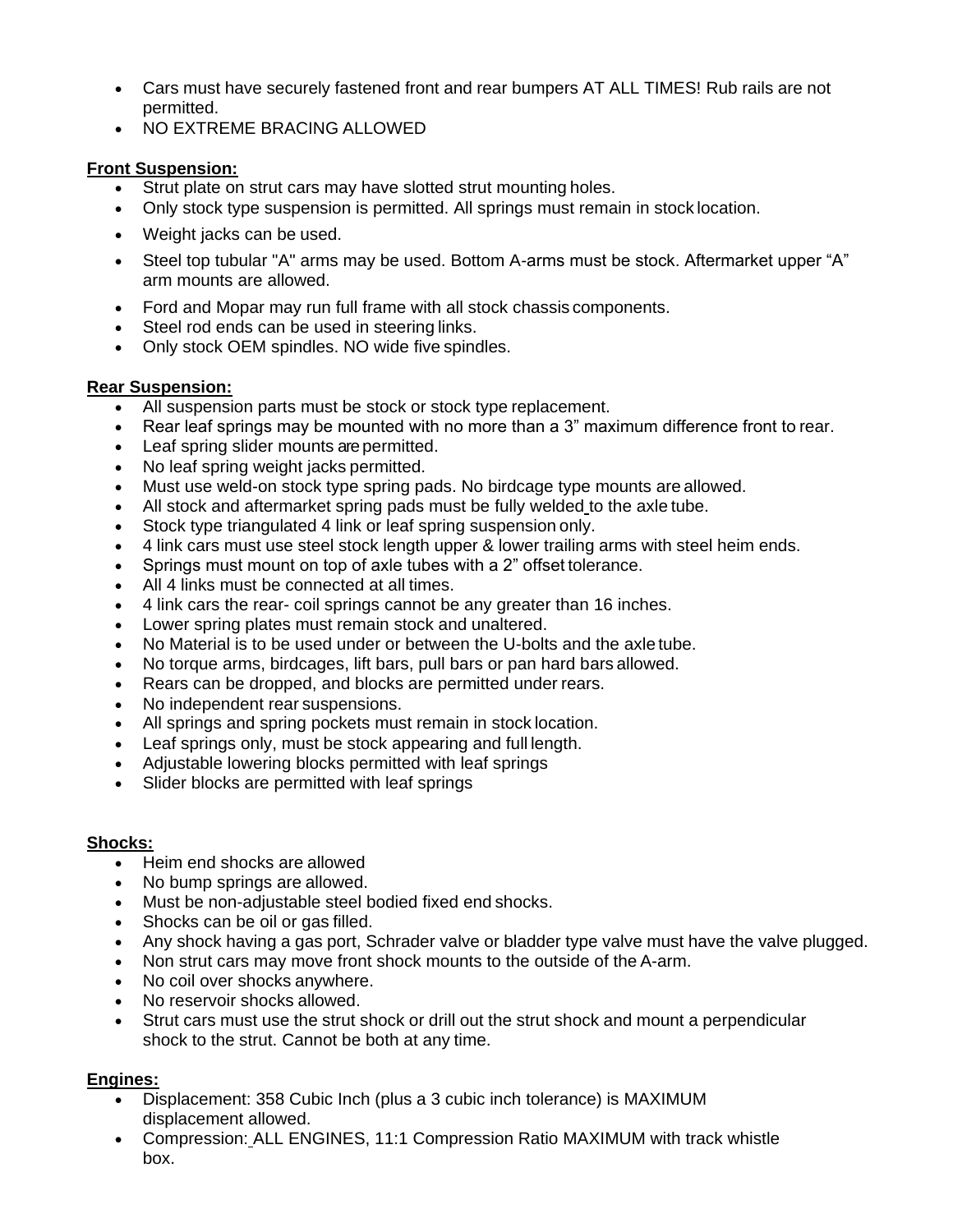- Cars must have securely fastened front and rear bumpers AT ALL TIMES! Rub rails are not permitted.
- NO EXTREME BRACING ALLOWED

### **Front Suspension:**

- Strut plate on strut cars may have slotted strut mounting holes.
- Only stock type suspension is permitted. All springs must remain in stock location.
- Weight jacks can be used.
- Steel top tubular "A" arms may be used. Bottom A-arms must be stock. Aftermarket upper "A" arm mounts are allowed.
- Ford and Mopar may run full frame with all stock chassis components.
- Steel rod ends can be used in steering links.
- Only stock OEM spindles. NO wide five spindles.

### **Rear Suspension:**

- All suspension parts must be stock or stock type replacement.
- Rear leaf springs may be mounted with no more than a 3" maximum difference front to rear.
- Leaf spring slider mounts are permitted.
- No leaf spring weight jacks permitted.
- Must use weld-on stock type spring pads. No birdcage type mounts are allowed.
- All stock and aftermarket spring pads must be fully welded to the axle tube.
- Stock type triangulated 4 link or leaf spring suspension only.
- 4 link cars must use steel stock length upper & lower trailing arms with steel heim ends.
- Springs must mount on top of axle tubes with a 2" offset tolerance.
- All 4 links must be connected at all times.
- 4 link cars the rear- coil springs cannot be any greater than 16 inches.
- Lower spring plates must remain stock and unaltered.
- No Material is to be used under or between the U-bolts and the axle tube.
- No torque arms, birdcages, lift bars, pull bars or pan hard bars allowed.
- Rears can be dropped, and blocks are permitted under rears.
- No independent rear suspensions.
- All springs and spring pockets must remain in stock location.
- Leaf springs only, must be stock appearing and full length.
- Adjustable lowering blocks permitted with leaf springs
- Slider blocks are permitted with leaf springs

### **Shocks:**

- Heim end shocks are allowed
- No bump springs are allowed.
- Must be non-adjustable steel bodied fixed end shocks.
- Shocks can be oil or gas filled.
- Any shock having a gas port, Schrader valve or bladder type valve must have the valve plugged.
- Non strut cars may move front shock mounts to the outside of the A-arm.
- No coil over shocks anywhere.
- No reservoir shocks allowed.
- Strut cars must use the strut shock or drill out the strut shock and mount a perpendicular shock to the strut. Cannot be both at any time.

### **Engines:**

- Displacement: 358 Cubic Inch (plus a 3 cubic inch tolerance) is MAXIMUM displacement allowed.
- Compression: ALL ENGINES, 11:1 Compression Ratio MAXIMUM with track whistle box.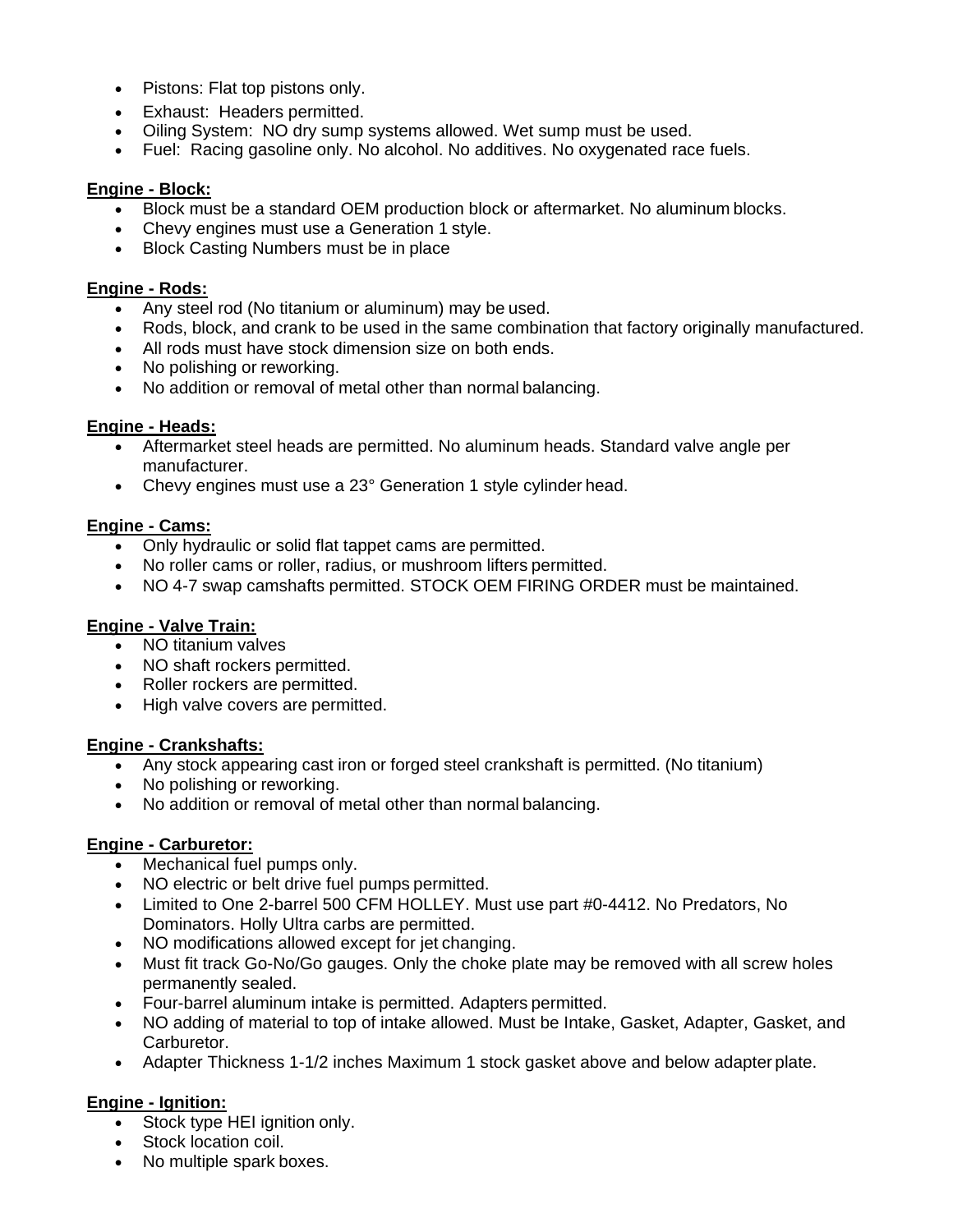- Pistons: Flat top pistons only.
- Exhaust: Headers permitted.
- Oiling System: NO dry sump systems allowed. Wet sump must be used.
- Fuel: Racing gasoline only. No alcohol. No additives. No oxygenated race fuels.

### **Engine - Block:**

- Block must be a standard OEM production block or aftermarket. No aluminum blocks.
- Chevy engines must use a Generation 1 style.
- Block Casting Numbers must be in place

### **Engine - Rods:**

- Any steel rod (No titanium or aluminum) may be used.
- Rods, block, and crank to be used in the same combination that factory originally manufactured.
- All rods must have stock dimension size on both ends.
- No polishing or reworking.
- No addition or removal of metal other than normal balancing.

### **Engine - Heads:**

- Aftermarket steel heads are permitted. No aluminum heads. Standard valve angle per manufacturer.
- Chevy engines must use a 23° Generation 1 style cylinder head.

### **Engine - Cams:**

- Only hydraulic or solid flat tappet cams are permitted.
- No roller cams or roller, radius, or mushroom lifters permitted.
- NO 4-7 swap camshafts permitted. STOCK OEM FIRING ORDER must be maintained.

## **Engine - Valve Train:**

- NO titanium valves
- NO shaft rockers permitted.
- Roller rockers are permitted.
- High valve covers are permitted.

### **Engine - Crankshafts:**

- Any stock appearing cast iron or forged steel crankshaft is permitted. (No titanium)
- No polishing or reworking.
- No addition or removal of metal other than normal balancing.

# **Engine - Carburetor:**

- Mechanical fuel pumps only.
- NO electric or belt drive fuel pumps permitted.
- Limited to One 2-barrel 500 CFM HOLLEY. Must use part #0-4412. No Predators, No Dominators. Holly Ultra carbs are permitted.
- NO modifications allowed except for jet changing.
- Must fit track Go-No/Go gauges. Only the choke plate may be removed with all screw holes permanently sealed.
- Four-barrel aluminum intake is permitted. Adapters permitted.
- NO adding of material to top of intake allowed. Must be Intake, Gasket, Adapter, Gasket, and Carburetor.
- Adapter Thickness 1-1/2 inches Maximum 1 stock gasket above and below adapter plate.

# **Engine - Ignition:**

- Stock type HEI ignition only.
- Stock location coil.
- No multiple spark boxes.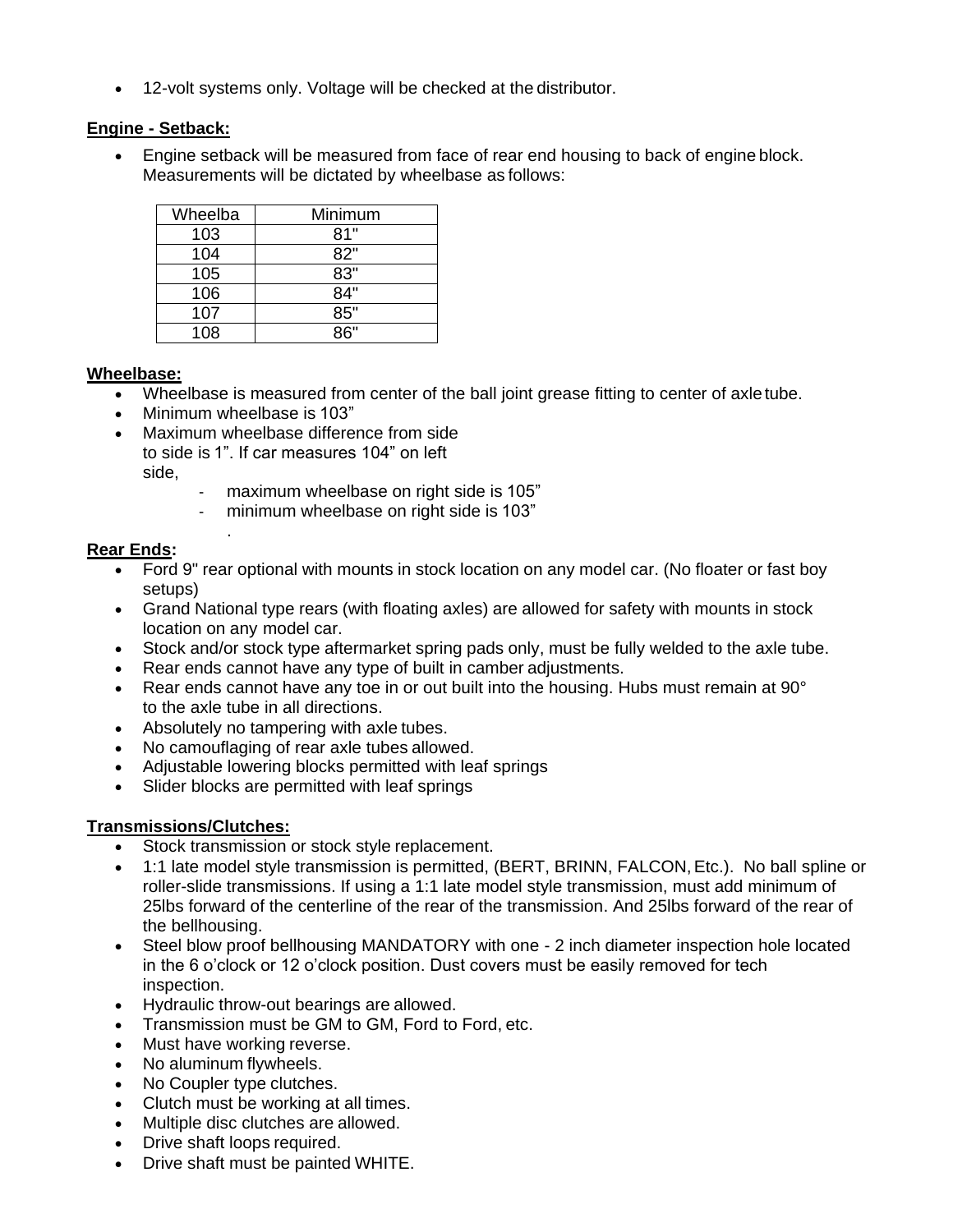• 12-volt systems only. Voltage will be checked at the distributor.

### **Engine - Setback:**

• Engine setback will be measured from face of rear end housing to back of engine block. Measurements will be dictated by wheelbase as follows:

| Wheelba | Minimum |  |
|---------|---------|--|
| 103     | 81"     |  |
| 104     | 82"     |  |
| 105     | 83"     |  |
| 106     | 84"     |  |
| 107     | 85"     |  |
| 108     | ጸ6"     |  |

### **Wheelbase:**

- Wheelbase is measured from center of the ball joint grease fitting to center of axle tube.
- Minimum wheelbase is 103"

.

- Maximum wheelbase difference from side to side is 1". If car measures 104" on left side,
	- maximum wheelbase on right side is 105"
	- minimum wheelbase on right side is 103"

### **Rear Ends:**

- Ford 9" rear optional with mounts in stock location on any model car. (No floater or fast boy setups)
- Grand National type rears (with floating axles) are allowed for safety with mounts in stock location on any model car.
- Stock and/or stock type aftermarket spring pads only, must be fully welded to the axle tube.
- Rear ends cannot have any type of built in camber adjustments.
- Rear ends cannot have any toe in or out built into the housing. Hubs must remain at 90° to the axle tube in all directions.
- Absolutely no tampering with axle tubes.
- No camouflaging of rear axle tubes allowed.
- Adjustable lowering blocks permitted with leaf springs
- Slider blocks are permitted with leaf springs

# **Transmissions/Clutches:**

- Stock transmission or stock style replacement.
- 1:1 late model style transmission is permitted, (BERT, BRINN, FALCON,Etc.). No ball spline or roller-slide transmissions. If using a 1:1 late model style transmission, must add minimum of 25lbs forward of the centerline of the rear of the transmission. And 25lbs forward of the rear of the bellhousing.
- Steel blow proof bellhousing MANDATORY with one 2 inch diameter inspection hole located in the 6 o'clock or 12 o'clock position. Dust covers must be easily removed for tech inspection.
- Hydraulic throw-out bearings are allowed.
- Transmission must be GM to GM, Ford to Ford, etc.
- Must have working reverse.
- No aluminum flywheels.
- No Coupler type clutches.
- Clutch must be working at all times.
- Multiple disc clutches are allowed.
- Drive shaft loops required.
- Drive shaft must be painted WHITE.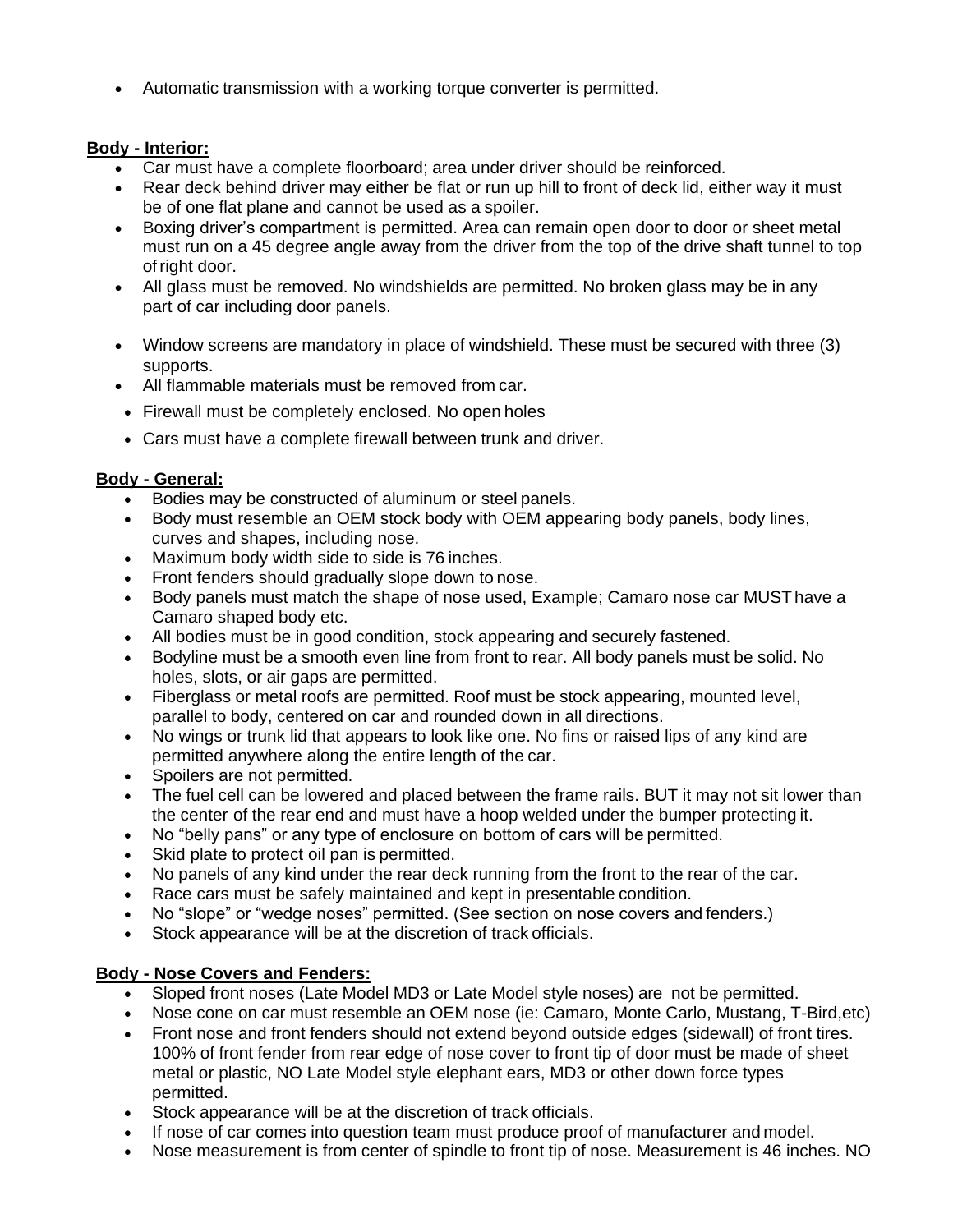• Automatic transmission with a working torque converter is permitted.

## **Body - Interior:**

- Car must have a complete floorboard; area under driver should be reinforced.
- Rear deck behind driver may either be flat or run up hill to front of deck lid, either way it must be of one flat plane and cannot be used as a spoiler.
- Boxing driver's compartment is permitted. Area can remain open door to door or sheet metal must run on a 45 degree angle away from the driver from the top of the drive shaft tunnel to top ofright door.
- All glass must be removed. No windshields are permitted. No broken glass may be in any part of car including door panels.
- Window screens are mandatory in place of windshield. These must be secured with three (3) supports.
- All flammable materials must be removed from car.
- Firewall must be completely enclosed. No open holes
- Cars must have a complete firewall between trunk and driver.

### **Body - General:**

- Bodies may be constructed of aluminum or steel panels.
- Body must resemble an OEM stock body with OEM appearing body panels, body lines, curves and shapes, including nose.
- Maximum body width side to side is 76 inches.
- Front fenders should gradually slope down to nose.
- Body panels must match the shape of nose used, Example; Camaro nose car MUSThave a Camaro shaped body etc.
- All bodies must be in good condition, stock appearing and securely fastened.
- Bodyline must be a smooth even line from front to rear. All body panels must be solid. No holes, slots, or air gaps are permitted.
- Fiberglass or metal roofs are permitted. Roof must be stock appearing, mounted level, parallel to body, centered on car and rounded down in all directions.
- No wings or trunk lid that appears to look like one. No fins or raised lips of any kind are permitted anywhere along the entire length of the car.
- Spoilers are not permitted.
- The fuel cell can be lowered and placed between the frame rails. BUT it may not sit lower than the center of the rear end and must have a hoop welded under the bumper protecting it.
- No "belly pans" or any type of enclosure on bottom of cars will be permitted.
- Skid plate to protect oil pan is permitted.
- No panels of any kind under the rear deck running from the front to the rear of the car.
- Race cars must be safely maintained and kept in presentable condition.
- No "slope" or "wedge noses" permitted. (See section on nose covers and fenders.)
- Stock appearance will be at the discretion of track officials.

# **Body - Nose Covers and Fenders:**

- Sloped front noses (Late Model MD3 or Late Model style noses) are not be permitted.
- Nose cone on car must resemble an OEM nose (ie: Camaro, Monte Carlo, Mustang, T-Bird,etc)
- Front nose and front fenders should not extend beyond outside edges (sidewall) of front tires. 100% of front fender from rear edge of nose cover to front tip of door must be made of sheet metal or plastic, NO Late Model style elephant ears, MD3 or other down force types permitted.
- Stock appearance will be at the discretion of track officials.
- If nose of car comes into question team must produce proof of manufacturer and model.
- Nose measurement is from center of spindle to front tip of nose. Measurement is 46 inches. NO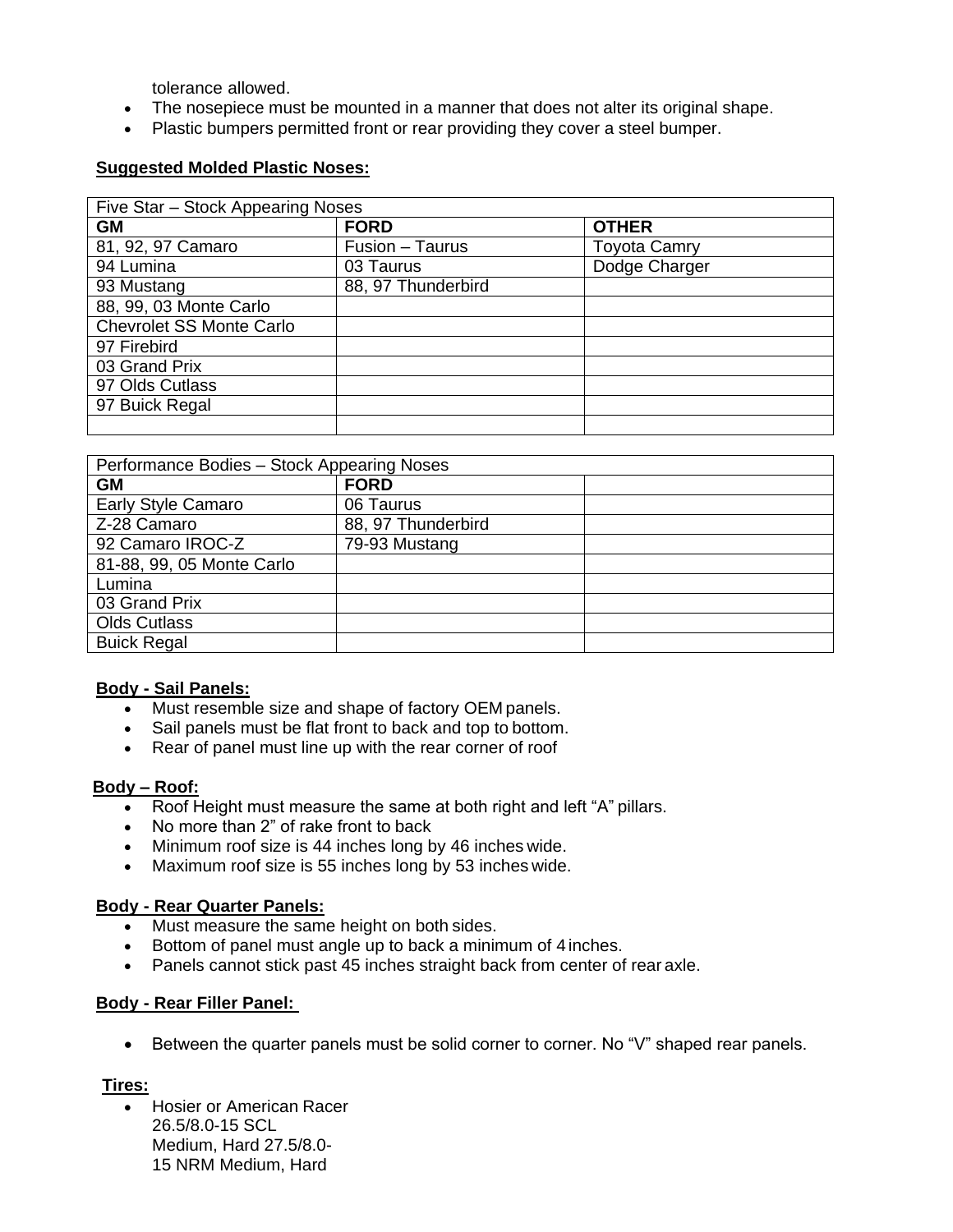tolerance allowed.

- The nosepiece must be mounted in a manner that does not alter its original shape.
- Plastic bumpers permitted front or rear providing they cover a steel bumper.

#### **Suggested Molded Plastic Noses:**

| Five Star - Stock Appearing Noses |                    |                     |  |
|-----------------------------------|--------------------|---------------------|--|
| <b>GM</b>                         | <b>FORD</b>        | <b>OTHER</b>        |  |
| 81, 92, 97 Camaro                 | Fusion - Taurus    | <b>Toyota Camry</b> |  |
| 94 Lumina                         | 03 Taurus          | Dodge Charger       |  |
| 93 Mustang                        | 88, 97 Thunderbird |                     |  |
| 88, 99, 03 Monte Carlo            |                    |                     |  |
| <b>Chevrolet SS Monte Carlo</b>   |                    |                     |  |
| 97 Firebird                       |                    |                     |  |
| 03 Grand Prix                     |                    |                     |  |
| 97 Olds Cutlass                   |                    |                     |  |
| 97 Buick Regal                    |                    |                     |  |
|                                   |                    |                     |  |

| Performance Bodies - Stock Appearing Noses |                    |  |  |
|--------------------------------------------|--------------------|--|--|
| <b>GM</b>                                  | <b>FORD</b>        |  |  |
| <b>Early Style Camaro</b>                  | 06 Taurus          |  |  |
| Z-28 Camaro                                | 88, 97 Thunderbird |  |  |
| 92 Camaro IROC-Z                           | 79-93 Mustang      |  |  |
| 81-88, 99, 05 Monte Carlo                  |                    |  |  |
| Lumina                                     |                    |  |  |
| 03 Grand Prix                              |                    |  |  |
| <b>Olds Cutlass</b>                        |                    |  |  |
| <b>Buick Regal</b>                         |                    |  |  |

#### **Body - Sail Panels:**

- Must resemble size and shape of factory OEM panels.
- Sail panels must be flat front to back and top to bottom.
- Rear of panel must line up with the rear corner of roof

#### **Body – Roof:**

- Roof Height must measure the same at both right and left "A" pillars.
- No more than 2" of rake front to back
- Minimum roof size is 44 inches long by 46 inches wide.
- Maximum roof size is 55 inches long by 53 inches wide.

### **Body - Rear Quarter Panels:**

- Must measure the same height on both sides.
- Bottom of panel must angle up to back a minimum of 4 inches.
- Panels cannot stick past 45 inches straight back from center of rear axle.

#### **Body - Rear Filler Panel:**

• Between the quarter panels must be solid corner to corner. No "V" shaped rear panels.

### **Tires:**

• Hosier or American Racer 26.5/8.0-15 SCL Medium, Hard 27.5/8.0- 15 NRM Medium, Hard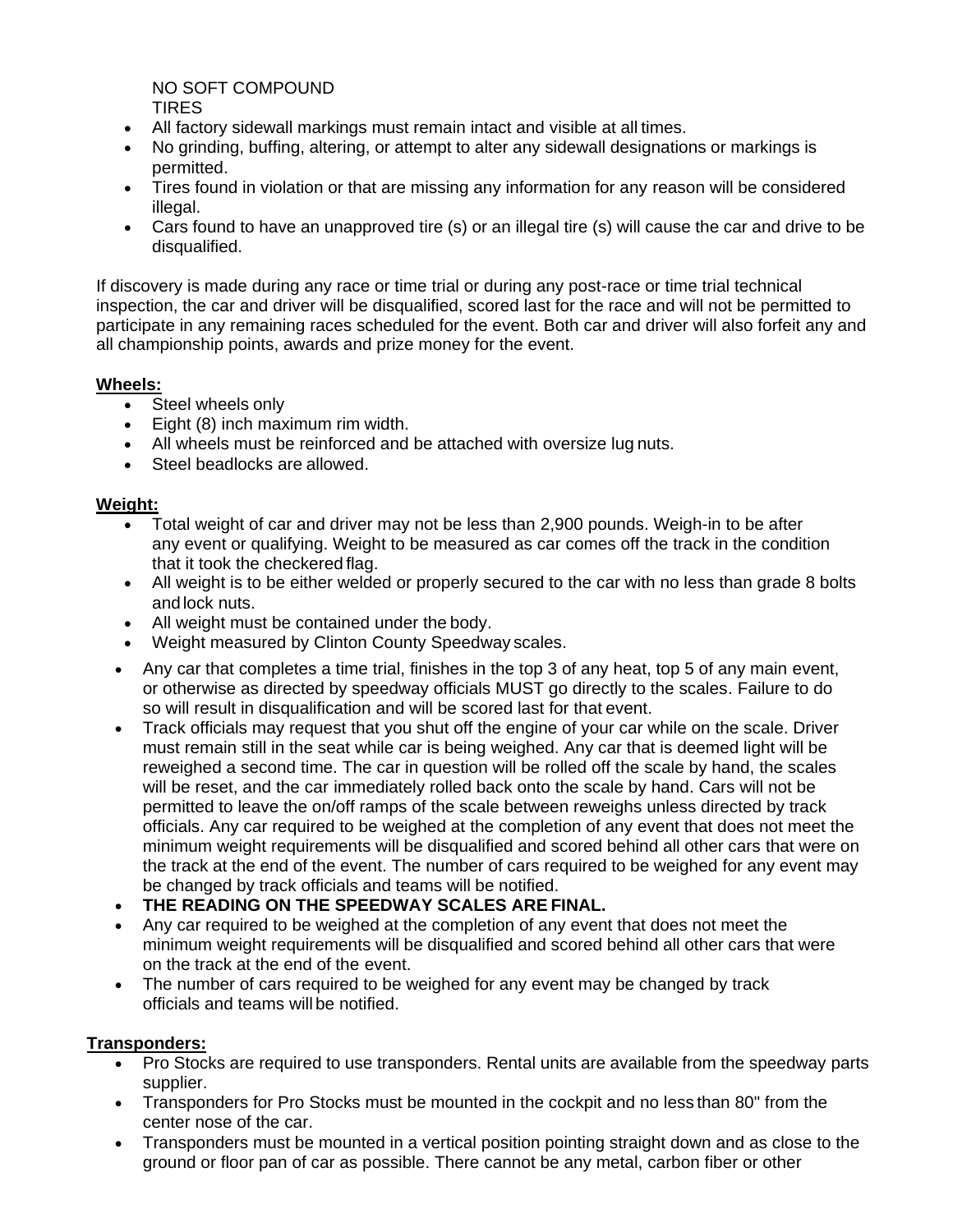NO SOFT COMPOUND TIRES

- All factory sidewall markings must remain intact and visible at all times.
- No grinding, buffing, altering, or attempt to alter any sidewall designations or markings is permitted.
- Tires found in violation or that are missing any information for any reason will be considered illegal.
- Cars found to have an unapproved tire (s) or an illegal tire (s) will cause the car and drive to be disqualified.

If discovery is made during any race or time trial or during any post-race or time trial technical inspection, the car and driver will be disqualified, scored last for the race and will not be permitted to participate in any remaining races scheduled for the event. Both car and driver will also forfeit any and all championship points, awards and prize money for the event.

### **Wheels:**

- Steel wheels only
- Eight (8) inch maximum rim width.
- All wheels must be reinforced and be attached with oversize lug nuts.
- Steel beadlocks are allowed.

### **Weight:**

- Total weight of car and driver may not be less than 2,900 pounds. Weigh-in to be after any event or qualifying. Weight to be measured as car comes off the track in the condition that it took the checkered flag.
- All weight is to be either welded or properly secured to the car with no less than grade 8 bolts and lock nuts.
- All weight must be contained under the body.
- Weight measured by Clinton County Speedway scales.
- Any car that completes a time trial, finishes in the top 3 of any heat, top 5 of any main event, or otherwise as directed by speedway officials MUST go directly to the scales. Failure to do so will result in disqualification and will be scored last for that event.
- Track officials may request that you shut off the engine of your car while on the scale. Driver must remain still in the seat while car is being weighed. Any car that is deemed light will be reweighed a second time. The car in question will be rolled off the scale by hand, the scales will be reset, and the car immediately rolled back onto the scale by hand. Cars will not be permitted to leave the on/off ramps of the scale between reweighs unless directed by track officials. Any car required to be weighed at the completion of any event that does not meet the minimum weight requirements will be disqualified and scored behind all other cars that were on the track at the end of the event. The number of cars required to be weighed for any event may be changed by track officials and teams will be notified.
- **THE READING ON THE SPEEDWAY SCALES ARE FINAL.**
- Any car required to be weighed at the completion of any event that does not meet the minimum weight requirements will be disqualified and scored behind all other cars that were on the track at the end of the event.
- The number of cars required to be weighed for any event may be changed by track officials and teams will be notified.

### **Transponders:**

- Pro Stocks are required to use transponders. Rental units are available from the speedway parts supplier.
- Transponders for Pro Stocks must be mounted in the cockpit and no less than 80" from the center nose of the car.
- Transponders must be mounted in a vertical position pointing straight down and as close to the ground or floor pan of car as possible. There cannot be any metal, carbon fiber or other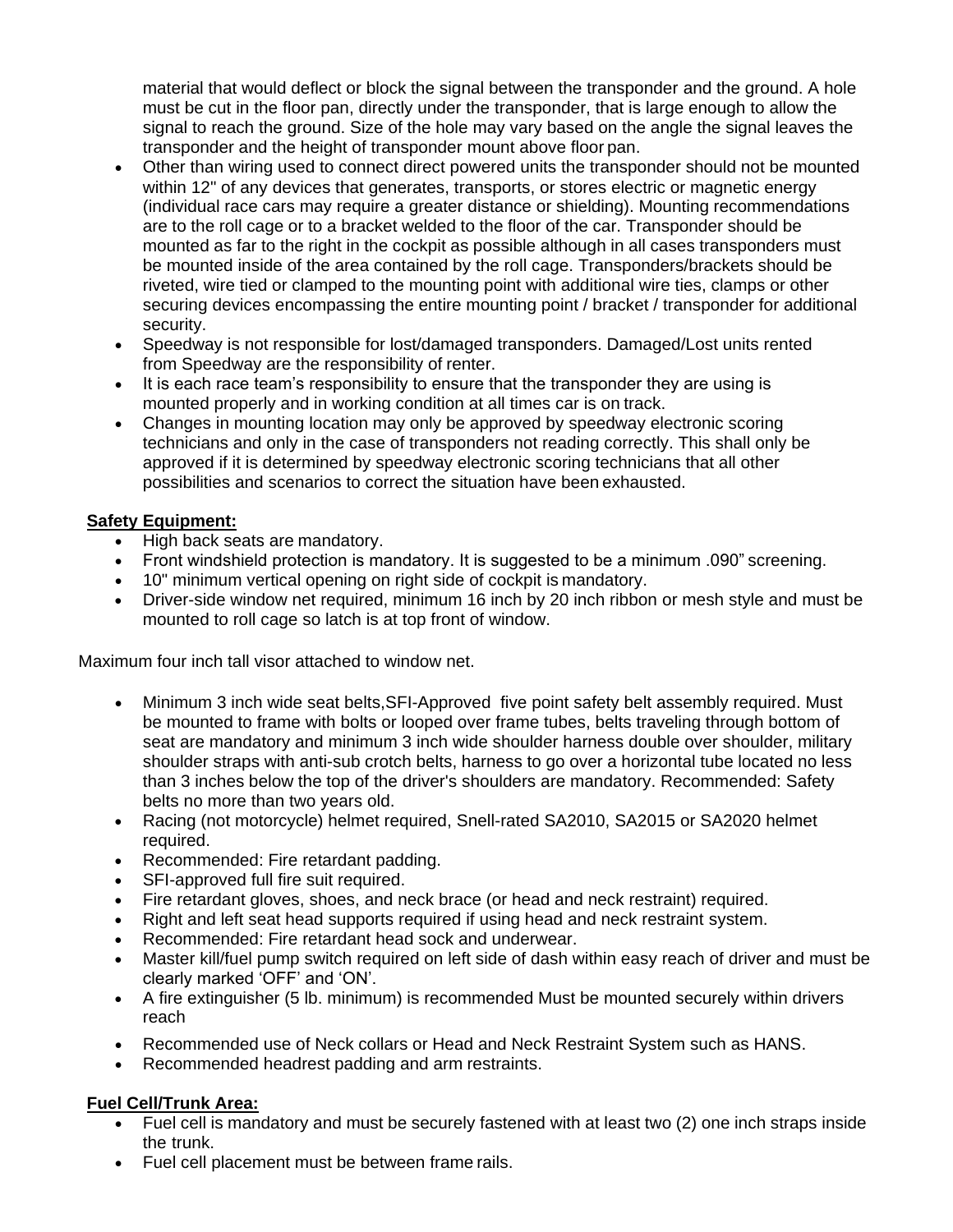material that would deflect or block the signal between the transponder and the ground. A hole must be cut in the floor pan, directly under the transponder, that is large enough to allow the signal to reach the ground. Size of the hole may vary based on the angle the signal leaves the transponder and the height of transponder mount above floor pan.

- Other than wiring used to connect direct powered units the transponder should not be mounted within 12" of any devices that generates, transports, or stores electric or magnetic energy (individual race cars may require a greater distance or shielding). Mounting recommendations are to the roll cage or to a bracket welded to the floor of the car. Transponder should be mounted as far to the right in the cockpit as possible although in all cases transponders must be mounted inside of the area contained by the roll cage. Transponders/brackets should be riveted, wire tied or clamped to the mounting point with additional wire ties, clamps or other securing devices encompassing the entire mounting point / bracket / transponder for additional security.
- Speedway is not responsible for lost/damaged transponders. Damaged/Lost units rented from Speedway are the responsibility of renter.
- It is each race team's responsibility to ensure that the transponder they are using is mounted properly and in working condition at all times car is on track.
- Changes in mounting location may only be approved by speedway electronic scoring technicians and only in the case of transponders not reading correctly. This shall only be approved if it is determined by speedway electronic scoring technicians that all other possibilities and scenarios to correct the situation have been exhausted.

# **Safety Equipment:**

- High back seats are mandatory.
- Front windshield protection is mandatory. It is suggested to be a minimum .090" screening.
- 10" minimum vertical opening on right side of cockpit is mandatory.
- Driver-side window net required, minimum 16 inch by 20 inch ribbon or mesh style and must be mounted to roll cage so latch is at top front of window.

Maximum four inch tall visor attached to window net.

- Minimum 3 inch wide seat belts, SFI-Approved five point safety belt assembly required. Must be mounted to frame with bolts or looped over frame tubes, belts traveling through bottom of seat are mandatory and minimum 3 inch wide shoulder harness double over shoulder, military shoulder straps with anti-sub crotch belts, harness to go over a horizontal tube located no less than 3 inches below the top of the driver's shoulders are mandatory. Recommended: Safety belts no more than two years old.
- Racing (not motorcycle) helmet required, Snell-rated SA2010, SA2015 or SA2020 helmet required.
- Recommended: Fire retardant padding.
- SFI-approved full fire suit required.
- Fire retardant gloves, shoes, and neck brace (or head and neck restraint) required.
- Right and left seat head supports required if using head and neck restraint system.
- Recommended: Fire retardant head sock and underwear.
- Master kill/fuel pump switch required on left side of dash within easy reach of driver and must be clearly marked 'OFF' and 'ON'.
- A fire extinguisher (5 lb. minimum) is recommended Must be mounted securely within drivers reach
- Recommended use of Neck collars or Head and Neck Restraint System such as HANS.
- Recommended headrest padding and arm restraints.

# **Fuel Cell/Trunk Area:**

- Fuel cell is mandatory and must be securely fastened with at least two (2) one inch straps inside the trunk.
- Fuel cell placement must be between frame rails.